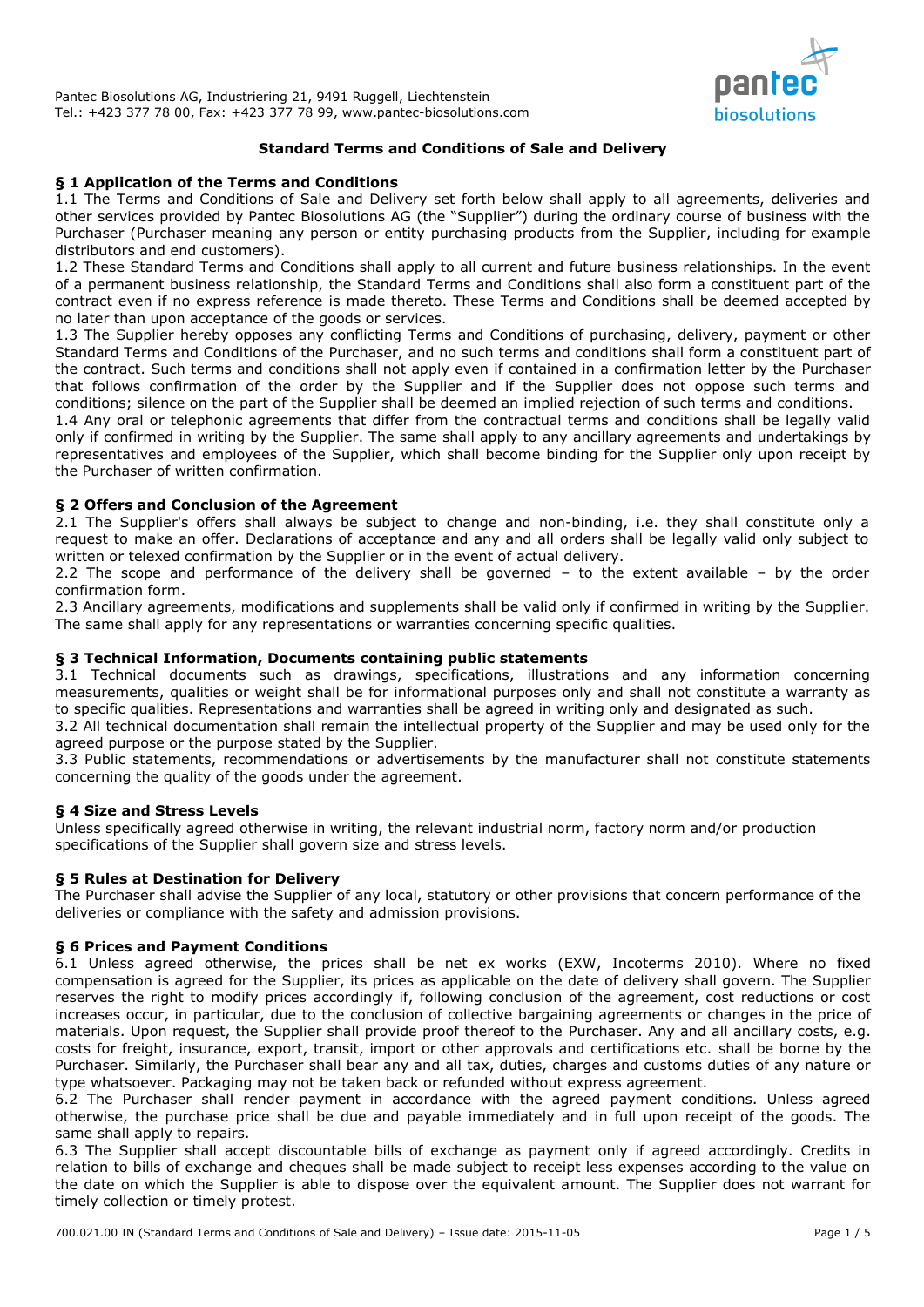

### **Standard Terms and Conditions of Sale and Delivery**

#### **§ 1 Application of the Terms and Conditions**

1.1 The Terms and Conditions of Sale and Delivery set forth below shall apply to all agreements, deliveries and other services provided by Pantec Biosolutions AG (the "Supplier") during the ordinary course of business with the Purchaser (Purchaser meaning any person or entity purchasing products from the Supplier, including for example distributors and end customers).

1.2 These Standard Terms and Conditions shall apply to all current and future business relationships. In the event of a permanent business relationship, the Standard Terms and Conditions shall also form a constituent part of the contract even if no express reference is made thereto. These Terms and Conditions shall be deemed accepted by no later than upon acceptance of the goods or services.

1.3 The Supplier hereby opposes any conflicting Terms and Conditions of purchasing, delivery, payment or other Standard Terms and Conditions of the Purchaser, and no such terms and conditions shall form a constituent part of the contract. Such terms and conditions shall not apply even if contained in a confirmation letter by the Purchaser that follows confirmation of the order by the Supplier and if the Supplier does not oppose such terms and conditions; silence on the part of the Supplier shall be deemed an implied rejection of such terms and conditions.

1.4 Any oral or telephonic agreements that differ from the contractual terms and conditions shall be legally valid only if confirmed in writing by the Supplier. The same shall apply to any ancillary agreements and undertakings by representatives and employees of the Supplier, which shall become binding for the Supplier only upon receipt by the Purchaser of written confirmation.

### **§ 2 Offers and Conclusion of the Agreement**

2.1 The Supplier's offers shall always be subject to change and non-binding, i.e. they shall constitute only a request to make an offer. Declarations of acceptance and any and all orders shall be legally valid only subject to written or telexed confirmation by the Supplier or in the event of actual delivery.

2.2 The scope and performance of the delivery shall be governed – to the extent available – by the order confirmation form.

2.3 Ancillary agreements, modifications and supplements shall be valid only if confirmed in writing by the Supplier. The same shall apply for any representations or warranties concerning specific qualities.

# **§ 3 Technical Information, Documents containing public statements**

3.1 Technical documents such as drawings, specifications, illustrations and any information concerning measurements, qualities or weight shall be for informational purposes only and shall not constitute a warranty as to specific qualities. Representations and warranties shall be agreed in writing only and designated as such.

3.2 All technical documentation shall remain the intellectual property of the Supplier and may be used only for the agreed purpose or the purpose stated by the Supplier.

3.3 Public statements, recommendations or advertisements by the manufacturer shall not constitute statements concerning the quality of the goods under the agreement.

### **§ 4 Size and Stress Levels**

Unless specifically agreed otherwise in writing, the relevant industrial norm, factory norm and/or production specifications of the Supplier shall govern size and stress levels.

### **§ 5 Rules at Destination for Delivery**

The Purchaser shall advise the Supplier of any local, statutory or other provisions that concern performance of the deliveries or compliance with the safety and admission provisions.

### **§ 6 Prices and Payment Conditions**

6.1 Unless agreed otherwise, the prices shall be net ex works (EXW, Incoterms 2010). Where no fixed compensation is agreed for the Supplier, its prices as applicable on the date of delivery shall govern. The Supplier reserves the right to modify prices accordingly if, following conclusion of the agreement, cost reductions or cost increases occur, in particular, due to the conclusion of collective bargaining agreements or changes in the price of materials. Upon request, the Supplier shall provide proof thereof to the Purchaser. Any and all ancillary costs, e.g. costs for freight, insurance, export, transit, import or other approvals and certifications etc. shall be borne by the Purchaser. Similarly, the Purchaser shall bear any and all tax, duties, charges and customs duties of any nature or type whatsoever. Packaging may not be taken back or refunded without express agreement.

6.2 The Purchaser shall render payment in accordance with the agreed payment conditions. Unless agreed otherwise, the purchase price shall be due and payable immediately and in full upon receipt of the goods. The same shall apply to repairs.

6.3 The Supplier shall accept discountable bills of exchange as payment only if agreed accordingly. Credits in relation to bills of exchange and cheques shall be made subject to receipt less expenses according to the value on the date on which the Supplier is able to dispose over the equivalent amount. The Supplier does not warrant for timely collection or timely protest.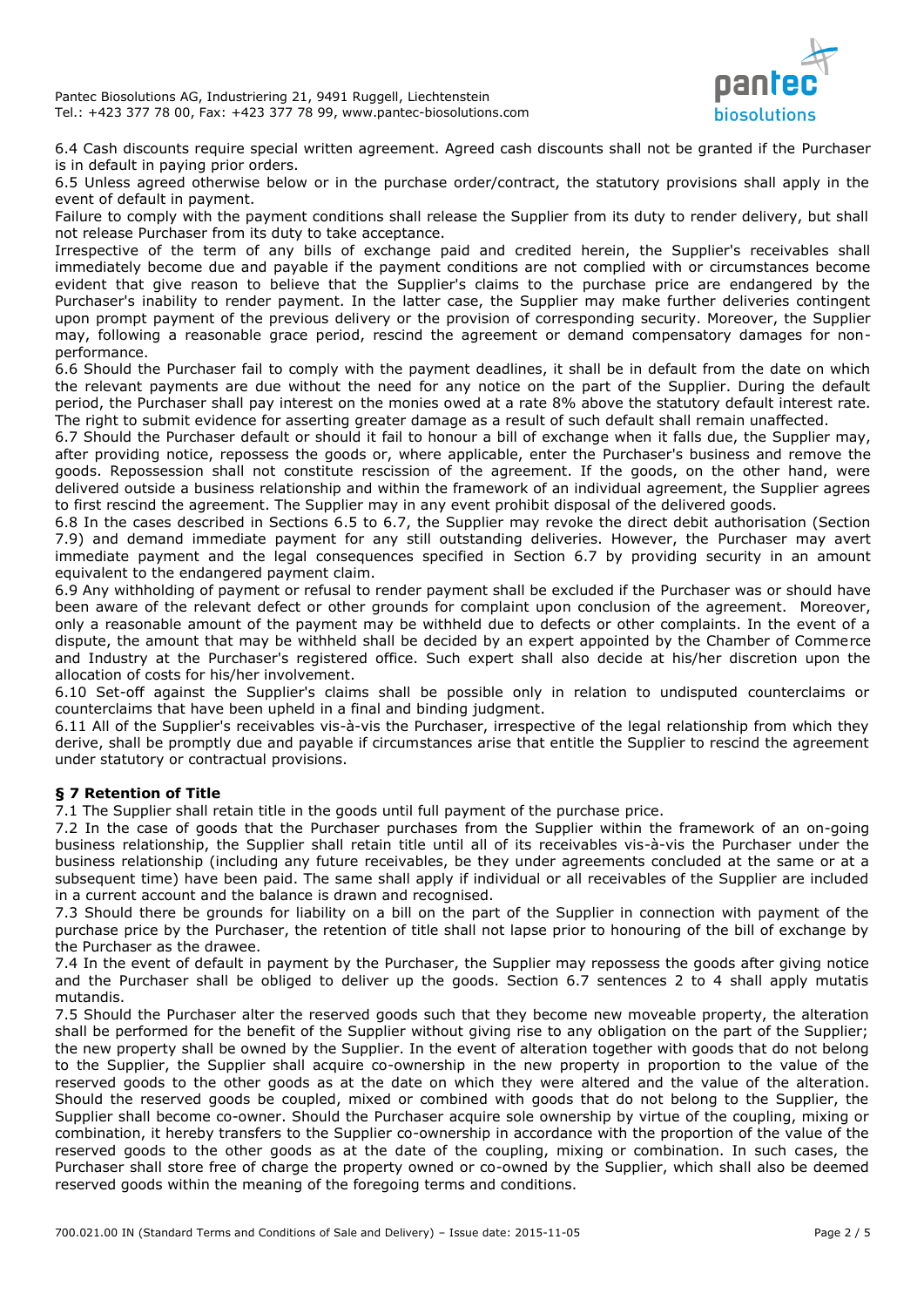

6.4 Cash discounts require special written agreement. Agreed cash discounts shall not be granted if the Purchaser is in default in paying prior orders.

6.5 Unless agreed otherwise below or in the purchase order/contract, the statutory provisions shall apply in the event of default in payment.

Failure to comply with the payment conditions shall release the Supplier from its duty to render delivery, but shall not release Purchaser from its duty to take acceptance.

Irrespective of the term of any bills of exchange paid and credited herein, the Supplier's receivables shall immediately become due and payable if the payment conditions are not complied with or circumstances become evident that give reason to believe that the Supplier's claims to the purchase price are endangered by the Purchaser's inability to render payment. In the latter case, the Supplier may make further deliveries contingent upon prompt payment of the previous delivery or the provision of corresponding security. Moreover, the Supplier may, following a reasonable grace period, rescind the agreement or demand compensatory damages for nonperformance.

6.6 Should the Purchaser fail to comply with the payment deadlines, it shall be in default from the date on which the relevant payments are due without the need for any notice on the part of the Supplier. During the default period, the Purchaser shall pay interest on the monies owed at a rate 8% above the statutory default interest rate. The right to submit evidence for asserting greater damage as a result of such default shall remain unaffected.

6.7 Should the Purchaser default or should it fail to honour a bill of exchange when it falls due, the Supplier may, after providing notice, repossess the goods or, where applicable, enter the Purchaser's business and remove the goods. Repossession shall not constitute rescission of the agreement. If the goods, on the other hand, were delivered outside a business relationship and within the framework of an individual agreement, the Supplier agrees to first rescind the agreement. The Supplier may in any event prohibit disposal of the delivered goods.

6.8 In the cases described in Sections 6.5 to 6.7, the Supplier may revoke the direct debit authorisation (Section 7.9) and demand immediate payment for any still outstanding deliveries. However, the Purchaser may avert immediate payment and the legal consequences specified in Section 6.7 by providing security in an amount equivalent to the endangered payment claim.

6.9 Any withholding of payment or refusal to render payment shall be excluded if the Purchaser was or should have been aware of the relevant defect or other grounds for complaint upon conclusion of the agreement. Moreover, only a reasonable amount of the payment may be withheld due to defects or other complaints. In the event of a dispute, the amount that may be withheld shall be decided by an expert appointed by the Chamber of Commerce and Industry at the Purchaser's registered office. Such expert shall also decide at his/her discretion upon the allocation of costs for his/her involvement.

6.10 Set-off against the Supplier's claims shall be possible only in relation to undisputed counterclaims or counterclaims that have been upheld in a final and binding judgment.

6.11 All of the Supplier's receivables vis-à-vis the Purchaser, irrespective of the legal relationship from which they derive, shall be promptly due and payable if circumstances arise that entitle the Supplier to rescind the agreement under statutory or contractual provisions.

# **§ 7 Retention of Title**

7.1 The Supplier shall retain title in the goods until full payment of the purchase price.

7.2 In the case of goods that the Purchaser purchases from the Supplier within the framework of an on-going business relationship, the Supplier shall retain title until all of its receivables vis-à-vis the Purchaser under the business relationship (including any future receivables, be they under agreements concluded at the same or at a subsequent time) have been paid. The same shall apply if individual or all receivables of the Supplier are included in a current account and the balance is drawn and recognised.

7.3 Should there be grounds for liability on a bill on the part of the Supplier in connection with payment of the purchase price by the Purchaser, the retention of title shall not lapse prior to honouring of the bill of exchange by the Purchaser as the drawee.

7.4 In the event of default in payment by the Purchaser, the Supplier may repossess the goods after giving notice and the Purchaser shall be obliged to deliver up the goods. Section 6.7 sentences 2 to 4 shall apply mutatis mutandis.

7.5 Should the Purchaser alter the reserved goods such that they become new moveable property, the alteration shall be performed for the benefit of the Supplier without giving rise to any obligation on the part of the Supplier; the new property shall be owned by the Supplier. In the event of alteration together with goods that do not belong to the Supplier, the Supplier shall acquire co-ownership in the new property in proportion to the value of the reserved goods to the other goods as at the date on which they were altered and the value of the alteration. Should the reserved goods be coupled, mixed or combined with goods that do not belong to the Supplier, the Supplier shall become co-owner. Should the Purchaser acquire sole ownership by virtue of the coupling, mixing or combination, it hereby transfers to the Supplier co-ownership in accordance with the proportion of the value of the reserved goods to the other goods as at the date of the coupling, mixing or combination. In such cases, the Purchaser shall store free of charge the property owned or co-owned by the Supplier, which shall also be deemed reserved goods within the meaning of the foregoing terms and conditions.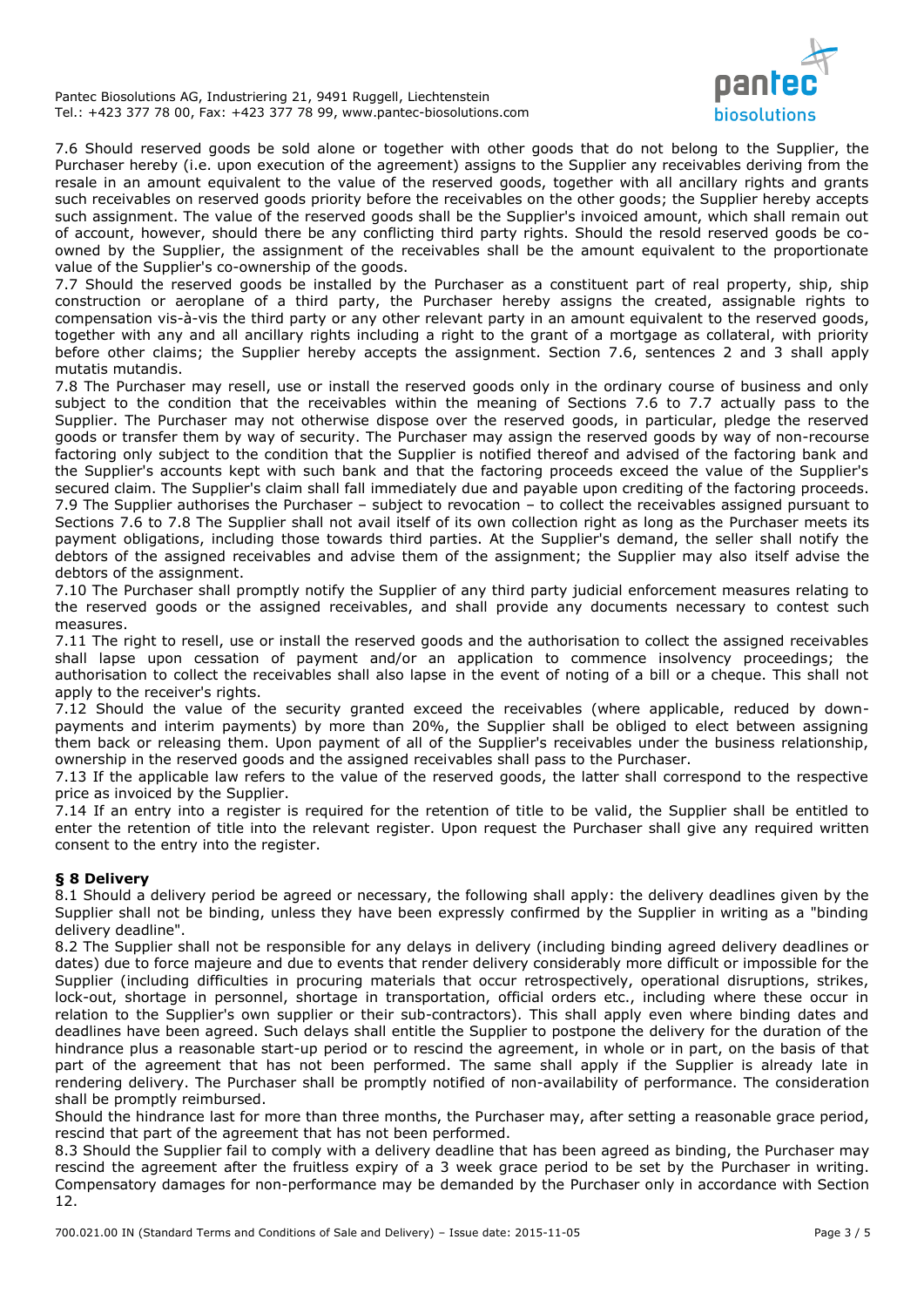Pantec Biosolutions AG, Industriering 21, 9491 Ruggell, Liechtenstein Tel.: +423 377 78 00, Fax: +423 377 78 99, www.pantec-biosolutions.com



7.6 Should reserved goods be sold alone or together with other goods that do not belong to the Supplier, the Purchaser hereby (i.e. upon execution of the agreement) assigns to the Supplier any receivables deriving from the resale in an amount equivalent to the value of the reserved goods, together with all ancillary rights and grants such receivables on reserved goods priority before the receivables on the other goods; the Supplier hereby accepts such assignment. The value of the reserved goods shall be the Supplier's invoiced amount, which shall remain out of account, however, should there be any conflicting third party rights. Should the resold reserved goods be coowned by the Supplier, the assignment of the receivables shall be the amount equivalent to the proportionate value of the Supplier's co-ownership of the goods.

7.7 Should the reserved goods be installed by the Purchaser as a constituent part of real property, ship, ship construction or aeroplane of a third party, the Purchaser hereby assigns the created, assignable rights to compensation vis-à-vis the third party or any other relevant party in an amount equivalent to the reserved goods, together with any and all ancillary rights including a right to the grant of a mortgage as collateral, with priority before other claims; the Supplier hereby accepts the assignment. Section 7.6, sentences 2 and 3 shall apply mutatis mutandis.

7.8 The Purchaser may resell, use or install the reserved goods only in the ordinary course of business and only subject to the condition that the receivables within the meaning of Sections 7.6 to 7.7 actually pass to the Supplier. The Purchaser may not otherwise dispose over the reserved goods, in particular, pledge the reserved goods or transfer them by way of security. The Purchaser may assign the reserved goods by way of non-recourse factoring only subject to the condition that the Supplier is notified thereof and advised of the factoring bank and the Supplier's accounts kept with such bank and that the factoring proceeds exceed the value of the Supplier's secured claim. The Supplier's claim shall fall immediately due and payable upon crediting of the factoring proceeds. 7.9 The Supplier authorises the Purchaser – subject to revocation – to collect the receivables assigned pursuant to Sections 7.6 to 7.8 The Supplier shall not avail itself of its own collection right as long as the Purchaser meets its payment obligations, including those towards third parties. At the Supplier's demand, the seller shall notify the debtors of the assigned receivables and advise them of the assignment; the Supplier may also itself advise the debtors of the assignment.

7.10 The Purchaser shall promptly notify the Supplier of any third party judicial enforcement measures relating to the reserved goods or the assigned receivables, and shall provide any documents necessary to contest such measures.

7.11 The right to resell, use or install the reserved goods and the authorisation to collect the assigned receivables shall lapse upon cessation of payment and/or an application to commence insolvency proceedings; the authorisation to collect the receivables shall also lapse in the event of noting of a bill or a cheque. This shall not apply to the receiver's rights.

7.12 Should the value of the security granted exceed the receivables (where applicable, reduced by downpayments and interim payments) by more than 20%, the Supplier shall be obliged to elect between assigning them back or releasing them. Upon payment of all of the Supplier's receivables under the business relationship, ownership in the reserved goods and the assigned receivables shall pass to the Purchaser.

7.13 If the applicable law refers to the value of the reserved goods, the latter shall correspond to the respective price as invoiced by the Supplier.

7.14 If an entry into a register is required for the retention of title to be valid, the Supplier shall be entitled to enter the retention of title into the relevant register. Upon request the Purchaser shall give any required written consent to the entry into the register.

# **§ 8 Delivery**

8.1 Should a delivery period be agreed or necessary, the following shall apply: the delivery deadlines given by the Supplier shall not be binding, unless they have been expressly confirmed by the Supplier in writing as a "binding delivery deadline".

8.2 The Supplier shall not be responsible for any delays in delivery (including binding agreed delivery deadlines or dates) due to force majeure and due to events that render delivery considerably more difficult or impossible for the Supplier (including difficulties in procuring materials that occur retrospectively, operational disruptions, strikes, lock-out, shortage in personnel, shortage in transportation, official orders etc., including where these occur in relation to the Supplier's own supplier or their sub-contractors). This shall apply even where binding dates and deadlines have been agreed. Such delays shall entitle the Supplier to postpone the delivery for the duration of the hindrance plus a reasonable start-up period or to rescind the agreement, in whole or in part, on the basis of that part of the agreement that has not been performed. The same shall apply if the Supplier is already late in rendering delivery. The Purchaser shall be promptly notified of non-availability of performance. The consideration shall be promptly reimbursed.

Should the hindrance last for more than three months, the Purchaser may, after setting a reasonable grace period, rescind that part of the agreement that has not been performed.

8.3 Should the Supplier fail to comply with a delivery deadline that has been agreed as binding, the Purchaser may rescind the agreement after the fruitless expiry of a 3 week grace period to be set by the Purchaser in writing. Compensatory damages for non-performance may be demanded by the Purchaser only in accordance with Section 12.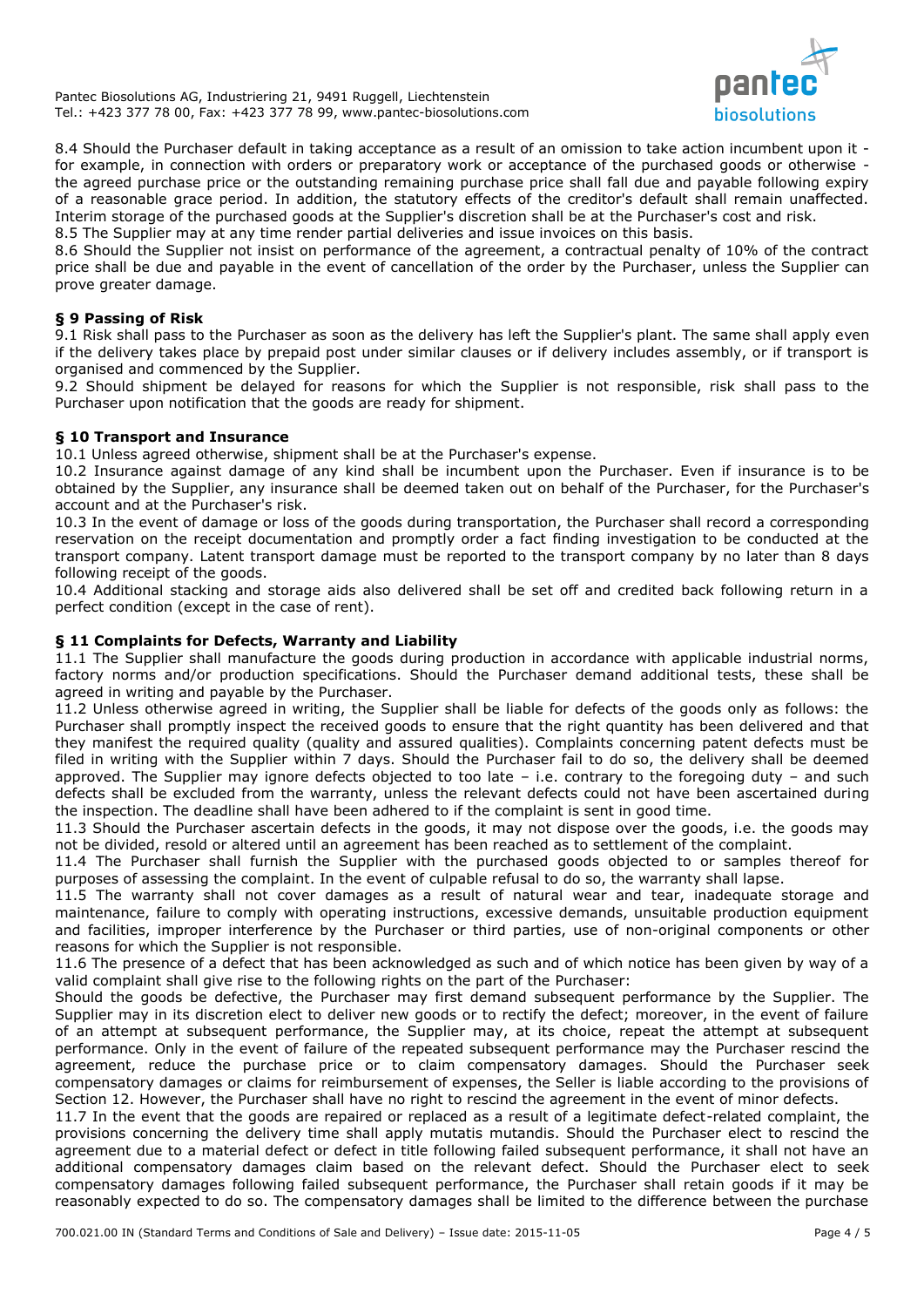Pantec Biosolutions AG, Industriering 21, 9491 Ruggell, Liechtenstein Tel.: +423 377 78 00, Fax: +423 377 78 99, www.pantec-biosolutions.com



8.4 Should the Purchaser default in taking acceptance as a result of an omission to take action incumbent upon it for example, in connection with orders or preparatory work or acceptance of the purchased goods or otherwise the agreed purchase price or the outstanding remaining purchase price shall fall due and payable following expiry of a reasonable grace period. In addition, the statutory effects of the creditor's default shall remain unaffected. Interim storage of the purchased goods at the Supplier's discretion shall be at the Purchaser's cost and risk. 8.5 The Supplier may at any time render partial deliveries and issue invoices on this basis.

8.6 Should the Supplier not insist on performance of the agreement, a contractual penalty of 10% of the contract price shall be due and payable in the event of cancellation of the order by the Purchaser, unless the Supplier can prove greater damage.

### **§ 9 Passing of Risk**

9.1 Risk shall pass to the Purchaser as soon as the delivery has left the Supplier's plant. The same shall apply even if the delivery takes place by prepaid post under similar clauses or if delivery includes assembly, or if transport is organised and commenced by the Supplier.

9.2 Should shipment be delayed for reasons for which the Supplier is not responsible, risk shall pass to the Purchaser upon notification that the goods are ready for shipment.

### **§ 10 Transport and Insurance**

10.1 Unless agreed otherwise, shipment shall be at the Purchaser's expense.

10.2 Insurance against damage of any kind shall be incumbent upon the Purchaser. Even if insurance is to be obtained by the Supplier, any insurance shall be deemed taken out on behalf of the Purchaser, for the Purchaser's account and at the Purchaser's risk.

10.3 In the event of damage or loss of the goods during transportation, the Purchaser shall record a corresponding reservation on the receipt documentation and promptly order a fact finding investigation to be conducted at the transport company. Latent transport damage must be reported to the transport company by no later than 8 days following receipt of the goods.

10.4 Additional stacking and storage aids also delivered shall be set off and credited back following return in a perfect condition (except in the case of rent).

### **§ 11 Complaints for Defects, Warranty and Liability**

11.1 The Supplier shall manufacture the goods during production in accordance with applicable industrial norms, factory norms and/or production specifications. Should the Purchaser demand additional tests, these shall be agreed in writing and payable by the Purchaser.

11.2 Unless otherwise agreed in writing, the Supplier shall be liable for defects of the goods only as follows: the Purchaser shall promptly inspect the received goods to ensure that the right quantity has been delivered and that they manifest the required quality (quality and assured qualities). Complaints concerning patent defects must be filed in writing with the Supplier within 7 days. Should the Purchaser fail to do so, the delivery shall be deemed approved. The Supplier may ignore defects objected to too late – i.e. contrary to the foregoing duty – and such defects shall be excluded from the warranty, unless the relevant defects could not have been ascertained during the inspection. The deadline shall have been adhered to if the complaint is sent in good time.

11.3 Should the Purchaser ascertain defects in the goods, it may not dispose over the goods, i.e. the goods may not be divided, resold or altered until an agreement has been reached as to settlement of the complaint.

11.4 The Purchaser shall furnish the Supplier with the purchased goods objected to or samples thereof for purposes of assessing the complaint. In the event of culpable refusal to do so, the warranty shall lapse.

11.5 The warranty shall not cover damages as a result of natural wear and tear, inadequate storage and maintenance, failure to comply with operating instructions, excessive demands, unsuitable production equipment and facilities, improper interference by the Purchaser or third parties, use of non-original components or other reasons for which the Supplier is not responsible.

11.6 The presence of a defect that has been acknowledged as such and of which notice has been given by way of a valid complaint shall give rise to the following rights on the part of the Purchaser:

Should the goods be defective, the Purchaser may first demand subsequent performance by the Supplier. The Supplier may in its discretion elect to deliver new goods or to rectify the defect; moreover, in the event of failure of an attempt at subsequent performance, the Supplier may, at its choice, repeat the attempt at subsequent performance. Only in the event of failure of the repeated subsequent performance may the Purchaser rescind the agreement, reduce the purchase price or to claim compensatory damages. Should the Purchaser seek compensatory damages or claims for reimbursement of expenses, the Seller is liable according to the provisions of Section 12. However, the Purchaser shall have no right to rescind the agreement in the event of minor defects.

11.7 In the event that the goods are repaired or replaced as a result of a legitimate defect-related complaint, the provisions concerning the delivery time shall apply mutatis mutandis. Should the Purchaser elect to rescind the agreement due to a material defect or defect in title following failed subsequent performance, it shall not have an additional compensatory damages claim based on the relevant defect. Should the Purchaser elect to seek compensatory damages following failed subsequent performance, the Purchaser shall retain goods if it may be reasonably expected to do so. The compensatory damages shall be limited to the difference between the purchase